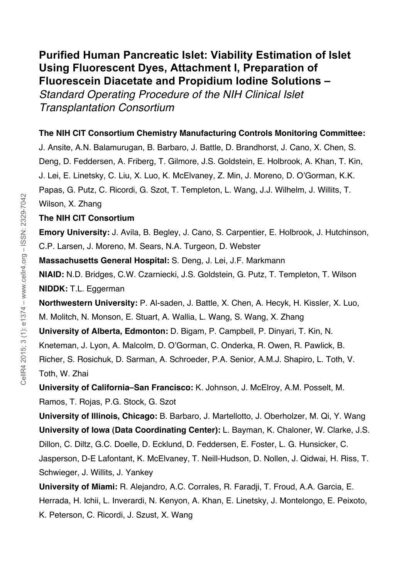## **Purified Human Pancreatic Islet: Viability Estimation of Islet Using Fluorescent Dyes, Attachment I, Preparation of Fluorescein Diacetate and Propidium Iodine Solutions –**

*Standard Operating Procedure of the NIH Clinical Islet Transplantation Consortium*

## **The NIH CIT Consortium Chemistry Manufacturing Controls Monitoring Committee:**

J. Ansite, A.N. Balamurugan, B. Barbaro, J. Battle, D. Brandhorst, J. Cano, X. Chen, S. Deng, D. Feddersen, A. Friberg, T. Gilmore, J.S. Goldstein, E. Holbrook, A. Khan, T. Kin, J. Lei, E. Linetsky, C. Liu, X. Luo, K. McElvaney, Z. Min, J. Moreno, D. O'Gorman, K.K. Papas, G. Putz, C. Ricordi, G. Szot, T. Templeton, L. Wang, J.J. Wilhelm, J. Willits, T. Wilson, X. Zhang

### **The NIH CIT Consortium**

**Emory University:** J. Avila, B. Begley, J. Cano, S. Carpentier, E. Holbrook, J. Hutchinson, C.P. Larsen, J. Moreno, M. Sears, N.A. Turgeon, D. Webster

**Massachusetts General Hospital:** S. Deng, J. Lei, J.F. Markmann

**NIAID:** N.D. Bridges, C.W. Czarniecki, J.S. Goldstein, G. Putz, T. Templeton, T. Wilson **NIDDK:** T.L. Eggerman

**Northwestern University:** P. Al-saden, J. Battle, X. Chen, A. Hecyk, H. Kissler, X. Luo, M. Molitch, N. Monson, E. Stuart, A. Wallia, L. Wang, S. Wang, X. Zhang

**University of Alberta, Edmonton:** D. Bigam, P. Campbell, P. Dinyari, T. Kin, N.

Kneteman, J. Lyon, A. Malcolm, D. O'Gorman, C. Onderka, R. Owen, R. Pawlick, B.

Richer, S. Rosichuk, D. Sarman, A. Schroeder, P.A. Senior, A.M.J. Shapiro, L. Toth, V. Toth, W. Zhai

**University of California–San Francisco:** K. Johnson, J. McElroy, A.M. Posselt, M. Ramos, T. Rojas, P.G. Stock, G. Szot

**University of Illinois, Chicago:** B. Barbaro, J. Martellotto, J. Oberholzer, M. Qi, Y. Wang **University of Iowa (Data Coordinating Center):** L. Bayman, K. Chaloner, W. Clarke, J.S. Dillon, C. Diltz, G.C. Doelle, D. Ecklund, D. Feddersen, E. Foster, L. G. Hunsicker, C. Jasperson, D-E Lafontant, K. McElvaney, T. Neill-Hudson, D. Nollen, J. Qidwai, H. Riss, T. Schwieger, J. Willits, J. Yankey

**University of Miami:** R. Alejandro, A.C. Corrales, R. Faradji, T. Froud, A.A. Garcia, E. Herrada, H. Ichii, L. Inverardi, N. Kenyon, A. Khan, E. Linetsky, J. Montelongo, E. Peixoto, K. Peterson, C. Ricordi, J. Szust, X. Wang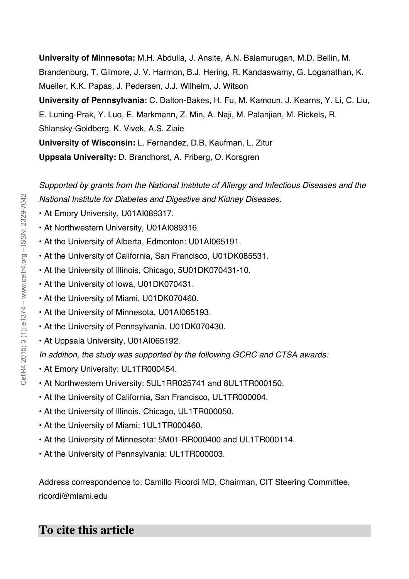**University of Minnesota:** M.H. Abdulla, J. Ansite, A.N. Balamurugan, M.D. Bellin, M. Brandenburg, T. Gilmore, J. V. Harmon, B.J. Hering, R. Kandaswamy, G. Loganathan, K. Mueller, K.K. Papas, J. Pedersen, J.J. Wilhelm, J. Witson **University of Pennsylvania:** C. Dalton-Bakes, H. Fu, M. Kamoun, J. Kearns, Y. Li, C. Liu, E. Luning-Prak, Y. Luo, E. Markmann, Z. Min, A. Naji, M. Palanjian, M. Rickels, R. Shlansky-Goldberg, K. Vivek, A.S. Ziaie **University of Wisconsin:** L. Fernandez, D.B. Kaufman, L. Zitur **Uppsala University:** D. Brandhorst, A. Friberg, O. Korsgren

*Supported by grants from the National Institute of Allergy and Infectious Diseases and the National Institute for Diabetes and Digestive and Kidney Diseases.*

- At Emory University, U01AI089317.
- At Northwestern University, U01AI089316.
- At the University of Alberta, Edmonton: U01AI065191.
- At the University of California, San Francisco, U01DK085531.
- At the University of Illinois, Chicago, 5U01DK070431-10.
- At the University of Iowa, U01DK070431.
- At the University of Miami, U01DK070460.
- At the University of Minnesota, U01AI065193.
- At the University of Pennsylvania, U01DK070430.
- At Uppsala University, U01AI065192.

*In addition, the study was supported by the following GCRC and CTSA awards:*

- At Emory University: UL1TR000454.
- At Northwestern University: 5UL1RR025741 and 8UL1TR000150.
- At the University of California, San Francisco, UL1TR000004.
- At the University of Illinois, Chicago, UL1TR000050.
- At the University of Miami: 1UL1TR000460.
- At the University of Minnesota: 5M01-RR000400 and UL1TR000114.
- At the University of Pennsylvania: UL1TR000003.

Address correspondence to: Camillo Ricordi MD, Chairman, CIT Steering Committee, ricordi@miami.edu

# **To cite this article**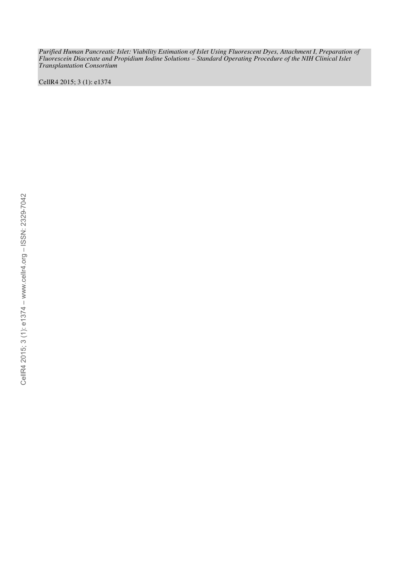*Purified Human Pancreatic Islet: Viability Estimation of Islet Using Fluorescent Dyes, Attachment I, Preparation of Fluorescein Diacetate and Propidium Iodine Solutions – Standard Operating Procedure of the NIH Clinical Islet Transplantation Consortium*

CellR4 2015; 3 (1): e1374